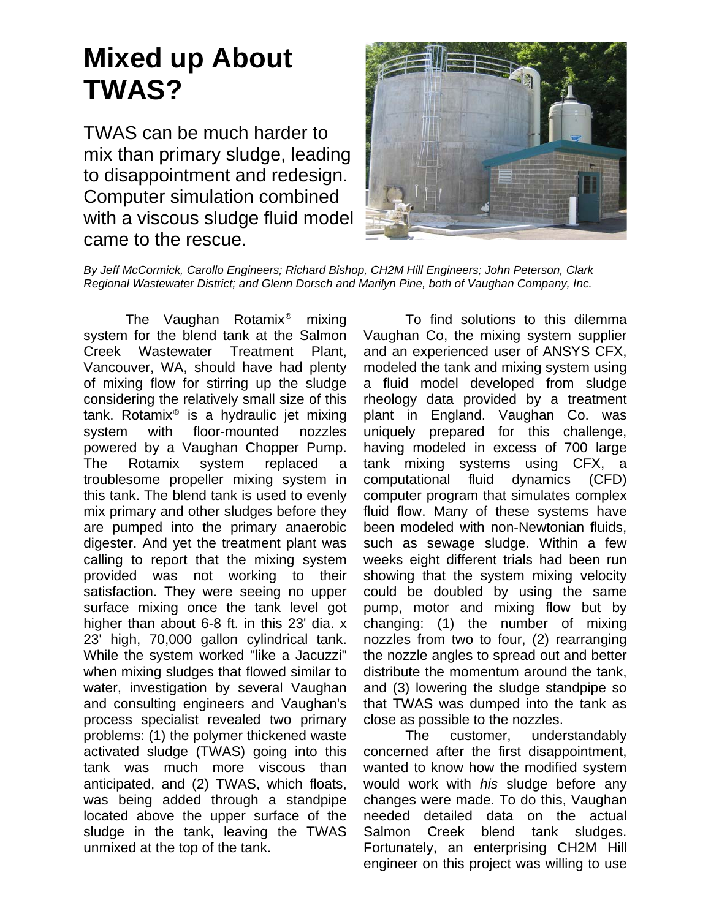## **Mixed up About TWAS?**

TWAS can be much harder to mix than primary sludge, leading to disappointment and redesign. Computer simulation combined with a viscous sludge fluid model came to the rescue.



*By Jeff McCormick, Carollo Engineers; Richard Bishop, CH2M Hill Engineers; John Peterson, Clark Regional Wastewater District; and Glenn Dorsch and Marilyn Pine, both of Vaughan Company, Inc.* 

The Vaughan Rotamix® mixing system for the blend tank at the Salmon Creek Wastewater Treatment Plant, Vancouver, WA, should have had plenty of mixing flow for stirring up the sludge considering the relatively small size of this tank. Rotamix® is a hydraulic jet mixing system with floor-mounted nozzles powered by a Vaughan Chopper Pump. The Rotamix system replaced a troublesome propeller mixing system in this tank. The blend tank is used to evenly mix primary and other sludges before they are pumped into the primary anaerobic digester. And yet the treatment plant was calling to report that the mixing system provided was not working to their satisfaction. They were seeing no upper surface mixing once the tank level got higher than about 6-8 ft. in this 23' dia. x 23' high, 70,000 gallon cylindrical tank. While the system worked "like a Jacuzzi" when mixing sludges that flowed similar to water, investigation by several Vaughan and consulting engineers and Vaughan's process specialist revealed two primary problems: (1) the polymer thickened waste activated sludge (TWAS) going into this tank was much more viscous than anticipated, and (2) TWAS, which floats, was being added through a standpipe located above the upper surface of the sludge in the tank, leaving the TWAS unmixed at the top of the tank.

To find solutions to this dilemma Vaughan Co, the mixing system supplier and an experienced user of ANSYS CFX, modeled the tank and mixing system using a fluid model developed from sludge rheology data provided by a treatment plant in England. Vaughan Co. was uniquely prepared for this challenge, having modeled in excess of 700 large tank mixing systems using CFX, a computational fluid dynamics (CFD) computer program that simulates complex fluid flow. Many of these systems have been modeled with non-Newtonian fluids, such as sewage sludge. Within a few weeks eight different trials had been run showing that the system mixing velocity could be doubled by using the same pump, motor and mixing flow but by changing: (1) the number of mixing nozzles from two to four, (2) rearranging the nozzle angles to spread out and better distribute the momentum around the tank, and (3) lowering the sludge standpipe so that TWAS was dumped into the tank as close as possible to the nozzles.

The customer, understandably concerned after the first disappointment, wanted to know how the modified system would work with *his* sludge before any changes were made. To do this, Vaughan needed detailed data on the actual Salmon Creek blend tank sludges. Fortunately, an enterprising CH2M Hill engineer on this project was willing to use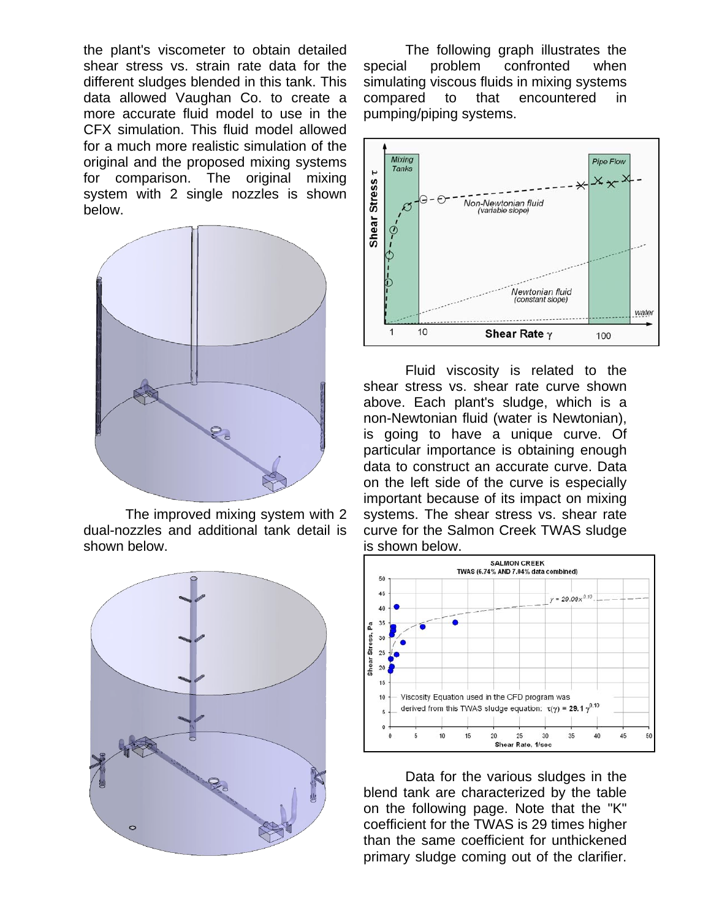the plant's viscometer to obtain detailed shear stress vs. strain rate data for the different sludges blended in this tank. This data allowed Vaughan Co. to create a more accurate fluid model to use in the CFX simulation. This fluid model allowed for a much more realistic simulation of the original and the proposed mixing systems for comparison. The original mixing system with 2 single nozzles is shown below.



The improved mixing system with 2 dual-nozzles and additional tank detail is shown below.



The following graph illustrates the special problem confronted when simulating viscous fluids in mixing systems compared to that encountered in pumping/piping systems.



Fluid viscosity is related to the shear stress vs. shear rate curve shown above. Each plant's sludge, which is a non-Newtonian fluid (water is Newtonian), is going to have a unique curve. Of particular importance is obtaining enough data to construct an accurate curve. Data on the left side of the curve is especially important because of its impact on mixing systems. The shear stress vs. shear rate curve for the Salmon Creek TWAS sludge is shown below.



Data for the various sludges in the blend tank are characterized by the table on the following page. Note that the "K" coefficient for the TWAS is 29 times higher than the same coefficient for unthickened primary sludge coming out of the clarifier.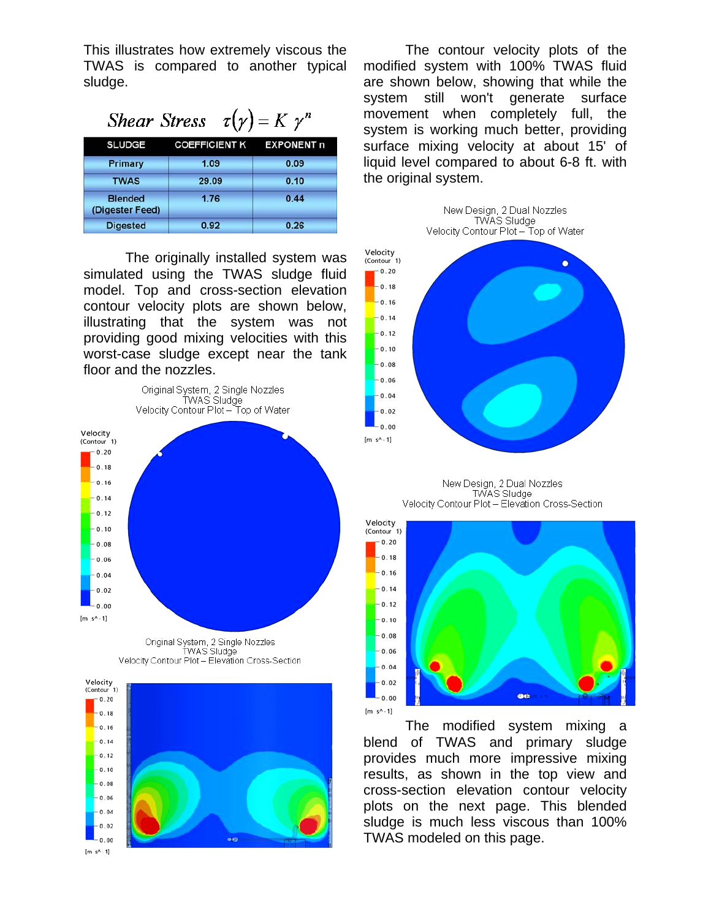This illustrates how extremely viscous the TWAS is compared to another typical sludge.

| <i>Shear Stress</i> $\tau(\gamma) = K \gamma^n$ |                                 |      |
|-------------------------------------------------|---------------------------------|------|
| <b>SLUDGE</b>                                   | <b>COEFFICIENT K EXPONENT n</b> |      |
| Primary                                         | 1.09                            | 0.09 |
| <b>TWAS</b>                                     | 29.09                           | 0.10 |
| <b>Blended</b><br>(Digester Feed)               | 1.76                            | 0.44 |
| <b>Digested</b>                                 | 0.92                            | 0.26 |

The originally installed system was simulated using the TWAS sludge fluid model. Top and cross-section elevation contour velocity plots are shown below, illustrating that the system was not providing good mixing velocities with this worst-case sludge except near the tank floor and the nozzles.







The contour velocity plots of the modified system with 100% TWAS fluid are shown below, showing that while the system still won't generate surface movement when completely full, the system is working much better, providing surface mixing velocity at about 15' of liquid level compared to about 6-8 ft. with the original system.



New Design, 2 Dual Nozzles TWAS Sludge Velocity Contour Plot - Elevation Cross-Section



The modified system mixing a blend of TWAS and primary sludge provides much more impressive mixing results, as shown in the top view and cross-section elevation contour velocity plots on the next page. This blended sludge is much less viscous than 100% TWAS modeled on this page.